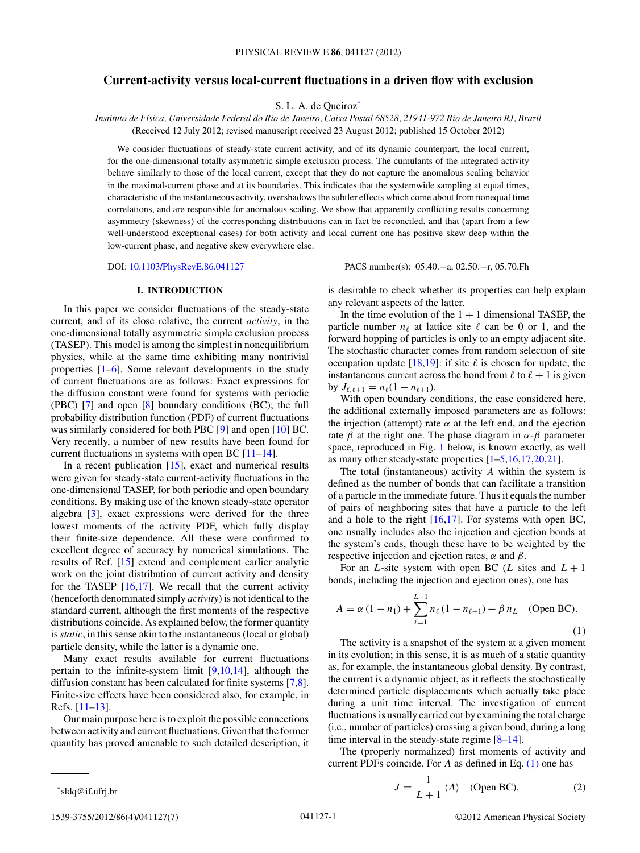# <span id="page-0-0"></span>**Current-activity versus local-current fluctuations in a driven flow with exclusion**

S. L. A. de Queiroz<sup>\*</sup>

*Instituto de F´ısica, Universidade Federal do Rio de Janeiro, Caixa Postal 68528, 21941-972 Rio de Janeiro RJ, Brazil* (Received 12 July 2012; revised manuscript received 23 August 2012; published 15 October 2012)

We consider fluctuations of steady-state current activity, and of its dynamic counterpart, the local current, for the one-dimensional totally asymmetric simple exclusion process. The cumulants of the integrated activity behave similarly to those of the local current, except that they do not capture the anomalous scaling behavior in the maximal-current phase and at its boundaries. This indicates that the systemwide sampling at equal times, characteristic of the instantaneous activity, overshadows the subtler effects which come about from nonequal time correlations, and are responsible for anomalous scaling. We show that apparently conflicting results concerning asymmetry (skewness) of the corresponding distributions can in fact be reconciled, and that (apart from a few well-understood exceptional cases) for both activity and local current one has positive skew deep within the low-current phase, and negative skew everywhere else.

DOI: [10.1103/PhysRevE.86.041127](http://dx.doi.org/10.1103/PhysRevE.86.041127) PACS number(s): 05*.*40*.*−a, 02*.*50*.*−r, 05*.*70*.*Fh

### **I. INTRODUCTION**

In this paper we consider fluctuations of the steady-state current, and of its close relative, the current *activity*, in the one-dimensional totally asymmetric simple exclusion process (TASEP). This model is among the simplest in nonequilibrium physics, while at the same time exhibiting many nontrivial properties [\[1–6\]](#page-6-0). Some relevant developments in the study of current fluctuations are as follows: Exact expressions for the diffusion constant were found for systems with periodic (PBC) [\[7\]](#page-6-0) and open [\[8\]](#page-6-0) boundary conditions (BC); the full probability distribution function (PDF) of current fluctuations was similarly considered for both PBC [\[9\]](#page-6-0) and open [\[10\]](#page-6-0) BC. Very recently, a number of new results have been found for current fluctuations in systems with open BC [\[11–14\]](#page-6-0).

In a recent publication [\[15\]](#page-6-0), exact and numerical results were given for steady-state current-activity fluctuations in the one-dimensional TASEP, for both periodic and open boundary conditions. By making use of the known steady-state operator algebra [\[3\]](#page-6-0), exact expressions were derived for the three lowest moments of the activity PDF, which fully display their finite-size dependence. All these were confirmed to excellent degree of accuracy by numerical simulations. The results of Ref. [\[15\]](#page-6-0) extend and complement earlier analytic work on the joint distribution of current activity and density for the TASEP [\[16,17\]](#page-6-0). We recall that the current activity (henceforth denominated simply *activity*) is not identical to the standard current, although the first moments of the respective distributions coincide. As explained below, the former quantity is*static*, in this sense akin to the instantaneous (local or global) particle density, while the latter is a dynamic one.

Many exact results available for current fluctuations pertain to the infinite-system limit [\[9,10,14\]](#page-6-0), although the diffusion constant has been calculated for finite systems [\[7,8\]](#page-6-0). Finite-size effects have been considered also, for example, in Refs. [\[11–13\]](#page-6-0).

Our main purpose here is to exploit the possible connections between activity and current fluctuations. Given that the former quantity has proved amenable to such detailed description, it is desirable to check whether its properties can help explain any relevant aspects of the latter.

In the time evolution of the  $1 + 1$  dimensional TASEP, the particle number  $n_{\ell}$  at lattice site  $\ell$  can be 0 or 1, and the forward hopping of particles is only to an empty adjacent site. The stochastic character comes from random selection of site occupation update  $[18,19]$ : if site  $\ell$  is chosen for update, the instantaneous current across the bond from  $\ell$  to  $\ell + 1$  is given  $\log J_{\ell, \ell+1} = n_{\ell} (1 - n_{\ell+1}).$ 

With open boundary conditions, the case considered here, the additional externally imposed parameters are as follows: the injection (attempt) rate  $\alpha$  at the left end, and the ejection rate *β* at the right one. The phase diagram in *α*-*β* parameter space, reproduced in Fig. [1](#page-1-0) below, is known exactly, as well as many other steady-state properties [\[1–5,16,17,20,21\]](#page-6-0).

The total (instantaneous) activity *A* within the system is defined as the number of bonds that can facilitate a transition of a particle in the immediate future. Thus it equals the number of pairs of neighboring sites that have a particle to the left and a hole to the right [\[16,17\]](#page-6-0). For systems with open BC, one usually includes also the injection and ejection bonds at the system's ends, though these have to be weighted by the respective injection and ejection rates, *α* and *β*.

For an *L*-site system with open BC (*L* sites and  $L + 1$ bonds, including the injection and ejection ones), one has

$$
A = \alpha (1 - n_1) + \sum_{\ell=1}^{L-1} n_\ell (1 - n_{\ell+1}) + \beta n_L \quad \text{(Open BC).}
$$
\n(1)

The activity is a snapshot of the system at a given moment in its evolution; in this sense, it is as much of a static quantity as, for example, the instantaneous global density. By contrast, the current is a dynamic object, as it reflects the stochastically determined particle displacements which actually take place during a unit time interval. The investigation of current fluctuations is usually carried out by examining the total charge (i.e., number of particles) crossing a given bond, during a long time interval in the steady-state regime  $[8-14]$ .

The (properly normalized) first moments of activity and current PDFs coincide. For *A* as defined in Eq. (1) one has

$$
J = \frac{1}{L+1} \langle A \rangle \quad \text{(Open BC)}, \tag{2}
$$

\*sldq@if.ufrj.br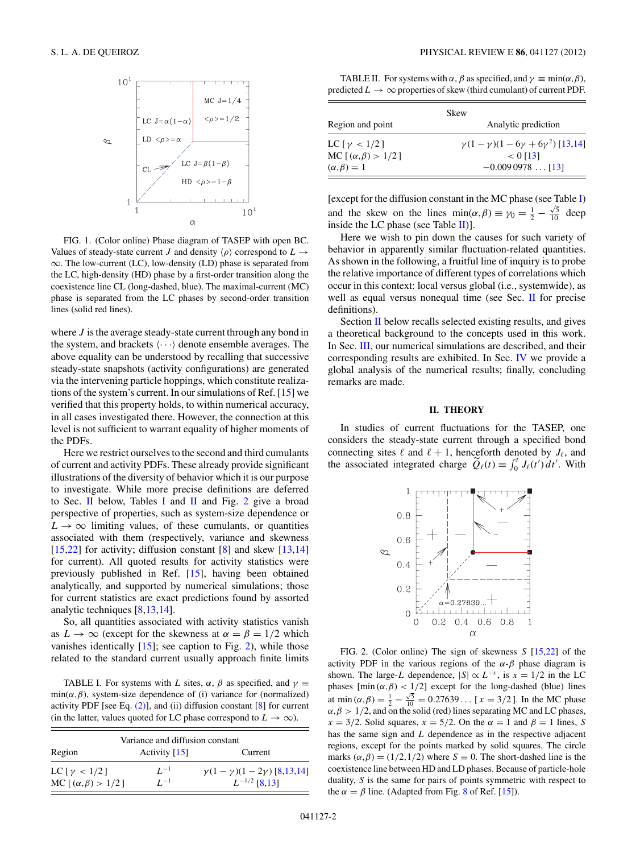<span id="page-1-0"></span>

FIG. 1. (Color online) Phase diagram of TASEP with open BC. Values of steady-state current *J* and density  $\langle \rho \rangle$  correspond to  $L \rightarrow$ ∞. The low-current (LC), low-density (LD) phase is separated from the LC, high-density (HD) phase by a first-order transition along the coexistence line CL (long-dashed, blue). The maximal-current (MC) phase is separated from the LC phases by second-order transition lines (solid red lines).

where *J* is the average steady-state current through any bond in the system, and brackets  $\langle \cdots \rangle$  denote ensemble averages. The above equality can be understood by recalling that successive steady-state snapshots (activity configurations) are generated via the intervening particle hoppings, which constitute realizations of the system's current. In our simulations of Ref. [\[15\]](#page-6-0) we verified that this property holds, to within numerical accuracy, in all cases investigated there. However, the connection at this level is not sufficient to warrant equality of higher moments of the PDFs.

Here we restrict ourselves to the second and third cumulants of current and activity PDFs. These already provide significant illustrations of the diversity of behavior which it is our purpose to investigate. While more precise definitions are deferred to Sec. II below, Tables I and II and Fig. 2 give a broad perspective of properties, such as system-size dependence or  $L \rightarrow \infty$  limiting values, of these cumulants, or quantities associated with them (respectively, variance and skewness [\[15,22\]](#page-6-0) for activity; diffusion constant [\[8\]](#page-6-0) and skew [\[13,14\]](#page-6-0) for current). All quoted results for activity statistics were previously published in Ref. [\[15\]](#page-6-0), having been obtained analytically, and supported by numerical simulations; those for current statistics are exact predictions found by assorted analytic techniques [\[8,13,14\]](#page-6-0).

So, all quantities associated with activity statistics vanish as  $L \to \infty$  (except for the skewness at  $\alpha = \beta = 1/2$  which vanishes identically [\[15\]](#page-6-0); see caption to Fig. 2), while those related to the standard current usually approach finite limits

TABLE I. For systems with *L* sites,  $\alpha$ ,  $\beta$  as specified, and  $\gamma \equiv$  $min(\alpha, \beta)$ , system-size dependence of (i) variance for (normalized) activity PDF [see Eq.  $(2)$ ], and  $(ii)$  diffusion constant  $[8]$  for current (in the latter, values quoted for LC phase correspond to  $L \to \infty$ ).

| Variance and diffusion constant                                                   |                      |                                                              |  |
|-----------------------------------------------------------------------------------|----------------------|--------------------------------------------------------------|--|
| Region                                                                            | Activity $[15]$      | Current                                                      |  |
| LC $\lceil \gamma \vert < 1/2 \rceil$<br>MC $\lceil (\alpha, \beta) > 1/2 \rceil$ | $L^{-1}$<br>$I^{-1}$ | $\gamma(1-\gamma)(1-2\gamma)$ [8,13,14]<br>$L^{-1/2}$ [8.13] |  |

TABLE II. For systems with  $\alpha$ ,  $\beta$  as specified, and  $\gamma \equiv \min(\alpha, \beta)$ , predicted  $L \rightarrow \infty$  properties of skew (third cumulant) of current PDF.

| Skew                                  |                                                 |  |
|---------------------------------------|-------------------------------------------------|--|
| Region and point                      | Analytic prediction                             |  |
| LC $\lceil \gamma \vert < 1/2 \rceil$ | $\gamma(1-\gamma)(1-6\gamma+6\gamma^2)$ [13,14] |  |
| MC [ $(\alpha, \beta) > 1/2$ ]        | $< 0$ [13]                                      |  |
| $(\alpha, \beta) = 1$                 | $-0.0090978$ [13]                               |  |

[except for the diffusion constant in the MC phase (see Table I) and the skew on the lines  $\min(\alpha, \beta) \equiv \gamma_0 = \frac{1}{2} - \frac{\sqrt{5}}{10}$  deep inside the LC phase (see Table II)].

Here we wish to pin down the causes for such variety of behavior in apparently similar fluctuation-related quantities. As shown in the following, a fruitful line of inquiry is to probe the relative importance of different types of correlations which occur in this context: local versus global (i.e., systemwide), as well as equal versus nonequal time (see Sec.  $\Pi$  for precise definitions).

Section II below recalls selected existing results, and gives a theoretical background to the concepts used in this work. In Sec. [III,](#page-2-0) our numerical simulations are described, and their corresponding results are exhibited. In Sec. [IV](#page-5-0) we provide a global analysis of the numerical results; finally, concluding remarks are made.

### **II. THEORY**

In studies of current fluctuations for the TASEP, one considers the steady-state current through a specified bond connecting sites  $\ell$  and  $\ell + 1$ , henceforth denoted by  $J_{\ell}$ , and the associated integrated charge  $\widetilde{Q}_{\ell}(t) \equiv \int_0^t J_{\ell}(t') dt'$ . With



FIG. 2. (Color online) The sign of skewness *S* [\[15,22\]](#page-6-0) of the activity PDF in the various regions of the  $\alpha$ - $\beta$  phase diagram is shown. The large-*L* dependence,  $|S| \propto L^{-x}$ , is  $x = 1/2$  in the LC phases  $[\min(\alpha, \beta) < 1/2]$  except for the long-dashed (blue) lines at min  $(\alpha, \beta) = \frac{1}{2} - \frac{\sqrt{5}}{10} = 0.27639...$  [ $x = 3/2$ ]. In the MC phase  $\alpha, \beta > 1/2$ , and on the solid (red) lines separating MC and LC phases,  $x = 3/2$ . Solid squares,  $x = 5/2$ . On the  $\alpha = 1$  and  $\beta = 1$  lines, *S* has the same sign and *L* dependence as in the respective adjacent regions, except for the points marked by solid squares. The circle marks  $(\alpha, \beta) = (1/2, 1/2)$  where  $S \equiv 0$ . The short-dashed line is the coexistence line between HD and LD phases. Because of particle-hole duality, *S* is the same for pairs of points symmetric with respect to the  $\alpha = \beta$  line. (Adapted from Fig. [8](#page-5-0) of Ref. [\[15\]](#page-6-0)).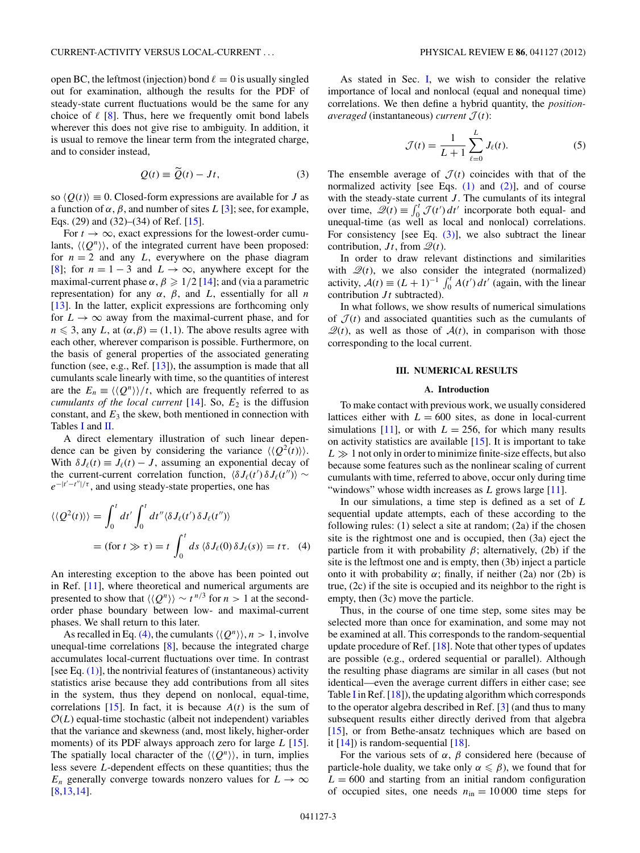<span id="page-2-0"></span>open BC, the leftmost (injection) bond  $\ell = 0$  is usually singled out for examination, although the results for the PDF of steady-state current fluctuations would be the same for any choice of  $\ell$  [\[8\]](#page-6-0). Thus, here we frequently omit bond labels wherever this does not give rise to ambiguity. In addition, it is usual to remove the linear term from the integrated charge, and to consider instead,

$$
Q(t) \equiv \tilde{Q}(t) - Jt,\tag{3}
$$

so  $\langle Q(t) \rangle \equiv 0$ . Closed-form expressions are available for *J* as a function of  $\alpha$ ,  $\beta$ , and number of sites L [\[3\]](#page-6-0); see, for example, Eqs. (29) and (32)–(34) of Ref.  $[15]$ .

For  $t \to \infty$ , exact expressions for the lowest-order cumulants,  $\langle \langle Q^n \rangle \rangle$ , of the integrated current have been proposed: for  $n = 2$  and any L, everywhere on the phase diagram [\[8\]](#page-6-0); for  $n = 1 - 3$  and  $L \rightarrow \infty$ , anywhere except for the maximal-current phase  $\alpha$ ,  $\beta \geqslant 1/2$  [\[14\]](#page-6-0); and (via a parametric representation) for any *α*, *β*, and *L*, essentially for all *n* [\[13\]](#page-6-0). In the latter, explicit expressions are forthcoming only for  $L \rightarrow \infty$  away from the maximal-current phase, and for  $n \leq 3$ , any *L*, at  $(\alpha, \beta) = (1, 1)$ . The above results agree with each other, wherever comparison is possible. Furthermore, on the basis of general properties of the associated generating function (see, e.g., Ref. [\[13\]](#page-6-0)), the assumption is made that all cumulants scale linearly with time, so the quantities of interest are the  $E_n \equiv \langle \langle Q^n \rangle \rangle / t$ , which are frequently referred to as *cumulants of the local current*  $[14]$ . So,  $E_2$  is the diffusion constant, and  $E_3$  the skew, both mentioned in connection with Tables [I](#page-1-0) and [II.](#page-1-0)

A direct elementary illustration of such linear dependence can be given by considering the variance  $\langle \langle Q^2(t) \rangle \rangle$ . With  $\delta J_{\ell}(t) \equiv J_{\ell}(t) - J$ , assuming an exponential decay of the current correlation function,  $\langle \delta J_{\ell}(t') \delta J_{\ell}(t'') \rangle \sim$ *e*<sup>−|*t'*−*t''* |/τ</sup>, and using steady-state properties, one has

$$
\langle \langle Q^2(t) \rangle \rangle = \int_0^t dt' \int_0^t dt'' \langle \delta J_\ell(t') \delta J_\ell(t'') \rangle
$$
  
= (for  $t \gg \tau$ ) =  $t \int_0^t ds \langle \delta J_\ell(0) \delta J_\ell(s) \rangle = t \tau$ . (4)

An interesting exception to the above has been pointed out in Ref. [\[11\]](#page-6-0), where theoretical and numerical arguments are presented to show that  $\langle Q^n \rangle \rangle \sim t^{n/3}$  for  $n > 1$  at the secondorder phase boundary between low- and maximal-current phases. We shall return to this later.

As recalled in Eq. (4), the cumulants  $\langle \langle Q^n \rangle \rangle$ ,  $n > 1$ , involve unequal-time correlations [\[8\]](#page-6-0), because the integrated charge accumulates local-current fluctuations over time. In contrast [see Eq.  $(1)$ ], the nontrivial features of (instantaneous) activity statistics arise because they add contributions from all sites in the system, thus they depend on nonlocal, equal-time, correlations [\[15\]](#page-6-0). In fact, it is because  $A(t)$  is the sum of  $\mathcal{O}(L)$  equal-time stochastic (albeit not independent) variables that the variance and skewness (and, most likely, higher-order moments) of its PDF always approach zero for large *L* [\[15\]](#page-6-0). The spatially local character of the  $\langle \langle Q^n \rangle \rangle$ , in turn, implies less severe *L*-dependent effects on these quantities; thus the *E<sub>n</sub>* generally converge towards nonzero values for  $L \rightarrow \infty$ [\[8,13,14\]](#page-6-0).

As stated in Sec. [I,](#page-0-0) we wish to consider the relative importance of local and nonlocal (equal and nonequal time) correlations. We then define a hybrid quantity, the *positionaveraged* (instantaneous) *current*  $\mathcal{J}(t)$ :

$$
\mathcal{J}(t) = \frac{1}{L+1} \sum_{\ell=0}^{L} J_{\ell}(t).
$$
 (5)

The ensemble average of  $\mathcal{J}(t)$  coincides with that of the normalized activity [see Eqs.  $(1)$  and  $(2)$ ], and of course with the steady-state current *J*. The cumulants of its integral over time,  $\mathcal{Q}(t) \equiv \int_0^t \mathcal{J}(t') dt'$  incorporate both equal- and unequal-time (as well as local and nonlocal) correlations. For consistency [see Eq.  $(3)$ ], we also subtract the linear contribution,  $Jt$ , from  $\mathcal{Q}(t)$ .

In order to draw relevant distinctions and similarities with  $\mathcal{Q}(t)$ , we also consider the integrated (normalized) activity,  $\mathcal{A}(t) \equiv (L+1)^{-1} \int_0^t A(t') dt'$  (again, with the linear contribution *Jt* subtracted).

In what follows, we show results of numerical simulations of  $\mathcal{J}(t)$  and associated quantities such as the cumulants of  $\mathcal{Q}(t)$ , as well as those of  $\mathcal{A}(t)$ , in comparison with those corresponding to the local current.

#### **III. NUMERICAL RESULTS**

### **A. Introduction**

To make contact with previous work, we usually considered lattices either with  $L = 600$  sites, as done in local-current simulations [\[11\]](#page-6-0), or with  $L = 256$ , for which many results on activity statistics are available [\[15\]](#page-6-0). It is important to take  $L \gg 1$  not only in order to minimize finite-size effects, but also because some features such as the nonlinear scaling of current cumulants with time, referred to above, occur only during time "windows" whose width increases as *L* grows large [\[11\]](#page-6-0).

In our simulations, a time step is defined as a set of *L* sequential update attempts, each of these according to the following rules: (1) select a site at random; (2a) if the chosen site is the rightmost one and is occupied, then (3a) eject the particle from it with probability  $\beta$ ; alternatively, (2b) if the site is the leftmost one and is empty, then (3b) inject a particle onto it with probability  $\alpha$ ; finally, if neither (2a) nor (2b) is true, (2c) if the site is occupied and its neighbor to the right is empty, then (3c) move the particle.

Thus, in the course of one time step, some sites may be selected more than once for examination, and some may not be examined at all. This corresponds to the random-sequential update procedure of Ref. [\[18\]](#page-6-0). Note that other types of updates are possible (e.g., ordered sequential or parallel). Although the resulting phase diagrams are similar in all cases (but not identical—even the average current differs in either case; see Table [I](#page-1-0) in Ref.  $[18]$ , the updating algorithm which corresponds to the operator algebra described in Ref. [\[3\]](#page-6-0) (and thus to many subsequent results either directly derived from that algebra [\[15\]](#page-6-0), or from Bethe-ansatz techniques which are based on it [\[14\]](#page-6-0)) is random-sequential [\[18\]](#page-6-0).

For the various sets of  $\alpha$ ,  $\beta$  considered here (because of particle-hole duality, we take only  $\alpha \leq \beta$ ), we found that for  $L = 600$  and starting from an initial random configuration of occupied sites, one needs  $n_{\text{in}} = 10000$  time steps for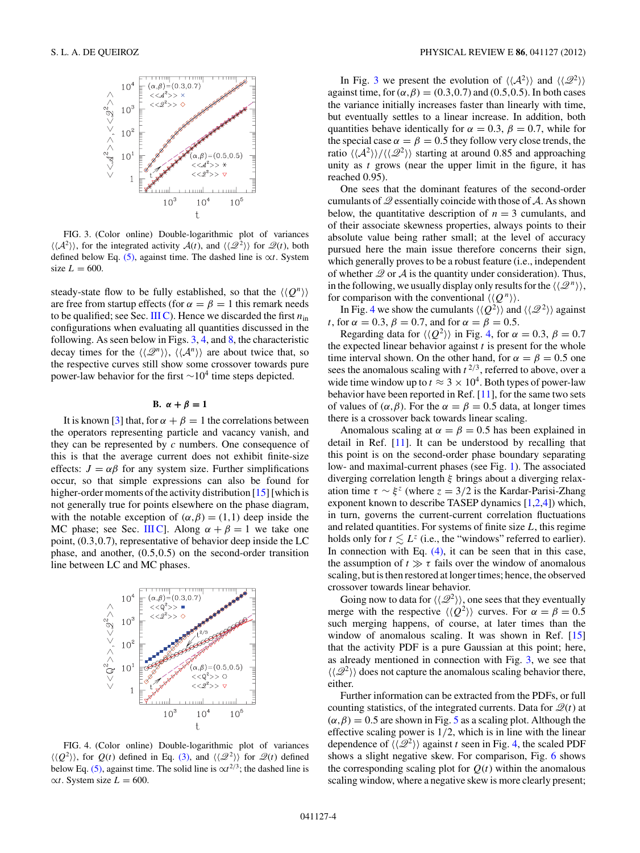<span id="page-3-0"></span>

FIG. 3. (Color online) Double-logarithmic plot of variances  $\langle \langle A^2 \rangle \rangle$ , for the integrated activity  $A(t)$ , and  $\langle \langle \mathcal{Q}^2 \rangle \rangle$  for  $\mathcal{Q}(t)$ , both defined below Eq. [\(5\),](#page-2-0) against time. The dashed line is ∝*t*. System size  $L = 600$ .

steady-state flow to be fully established, so that the  $\langle Q^n \rangle$ are free from startup effects (for  $\alpha = \beta = 1$  this remark needs to be qualified; see Sec. [III C\)](#page-4-0). Hence we discarded the first  $n_{\text{in}}$ configurations when evaluating all quantities discussed in the following. As seen below in Figs.  $3, 4$ , and  $8$ , the characteristic decay times for the  $\langle \langle \mathcal{Q}^n \rangle \rangle$ ,  $\langle \langle \mathcal{A}^n \rangle \rangle$  are about twice that, so the respective curves still show some crossover towards pure power-law behavior for the first  $\sim 10^4$  time steps depicted.

# **B.**  $\alpha + \beta = 1$

It is known [\[3\]](#page-6-0) that, for  $\alpha + \beta = 1$  the correlations between the operators representing particle and vacancy vanish, and they can be represented by *c* numbers. One consequence of this is that the average current does not exhibit finite-size effects:  $J = \alpha \beta$  for any system size. Further simplifications occur, so that simple expressions can also be found for higher-order moments of the activity distribution [\[15\]](#page-6-0) [which is not generally true for points elsewhere on the phase diagram, with the notable exception of  $(\alpha, \beta) = (1,1)$  deep inside the MC phase; see Sec. [III C\]](#page-4-0). Along  $\alpha + \beta = 1$  we take one point, (0*.*3*,*0*.*7), representative of behavior deep inside the LC phase, and another, (0*.*5*,*0*.*5) on the second-order transition line between LC and MC phases.



FIG. 4. (Color online) Double-logarithmic plot of variances  $\langle \langle Q^2 \rangle \rangle$ , for  $Q(t)$  defined in Eq. [\(3\),](#page-2-0) and  $\langle \langle \mathcal{Q}^2 \rangle \rangle$  for  $\mathcal{Q}(t)$  defined below Eq. [\(5\),](#page-2-0) against time. The solid line is  $\alpha t^{2/3}$ ; the dashed line is  $\alpha t$ . System size  $L = 600$ .

In Fig. 3 we present the evolution of  $\langle \langle A^2 \rangle \rangle$  and  $\langle \langle \mathcal{Q}^2 \rangle \rangle$ against time, for  $(\alpha, \beta) = (0.3, 0.7)$  and  $(0.5, 0.5)$ . In both cases the variance initially increases faster than linearly with time, but eventually settles to a linear increase. In addition, both quantities behave identically for  $\alpha = 0.3$ ,  $\beta = 0.7$ , while for the special case  $\alpha = \beta = 0.5$  they follow very close trends, the ratio  $\langle \langle A^2 \rangle \rangle / \langle \langle \mathcal{Q}^2 \rangle \rangle$  starting at around 0.85 and approaching unity as *t* grows (near the upper limit in the figure, it has reached 0*.*95).

One sees that the dominant features of the second-order cumulants of  $Q$  essentially coincide with those of  $A$ . As shown below, the quantitative description of  $n = 3$  cumulants, and of their associate skewness properties, always points to their absolute value being rather small; at the level of accuracy pursued here the main issue therefore concerns their sign, which generally proves to be a robust feature (i.e., independent of whether  $\mathscr Q$  or  $\mathscr A$  is the quantity under consideration). Thus, in the following, we usually display only results for the  $\langle \langle \mathcal{Q}^n \rangle \rangle$ , for comparison with the conventional  $\langle Q^n \rangle$ .

In Fig. 4 we show the cumulants  $\langle \langle Q^2 \rangle \rangle$  and  $\langle \langle \mathcal{Q}^2 \rangle \rangle$  against *t*, for  $\alpha = 0.3$ ,  $\beta = 0.7$ , and for  $\alpha = \beta = 0.5$ .

Regarding data for  $\langle \langle Q^2 \rangle \rangle$  in Fig. 4, for  $\alpha = 0.3$ ,  $\beta = 0.7$ the expected linear behavior against *t* is present for the whole time interval shown. On the other hand, for  $\alpha = \beta = 0.5$  one sees the anomalous scaling with  $t^{2/3}$ , referred to above, over a wide time window up to  $t \approx 3 \times 10^4$ . Both types of power-law behavior have been reported in Ref. [\[11\]](#page-6-0), for the same two sets of values of  $(\alpha, \beta)$ . For the  $\alpha = \beta = 0.5$  data, at longer times there is a crossover back towards linear scaling.

Anomalous scaling at  $\alpha = \beta = 0.5$  has been explained in detail in Ref. [\[11\]](#page-6-0). It can be understood by recalling that this point is on the second-order phase boundary separating low- and maximal-current phases (see Fig. [1\)](#page-1-0). The associated diverging correlation length *ξ* brings about a diverging relaxation time  $\tau \sim \xi^z$  (where  $z = 3/2$  is the Kardar-Parisi-Zhang exponent known to describe TASEP dynamics [\[1,2,4\]](#page-6-0)) which, in turn, governs the current-current correlation fluctuations and related quantities. For systems of finite size *L*, this regime holds only for  $t \leq L^z$  (i.e., the "windows" referred to earlier). In connection with Eq.  $(4)$ , it can be seen that in this case, the assumption of  $t \gg \tau$  fails over the window of anomalous scaling, but is then restored at longer times; hence, the observed crossover towards linear behavior.

Going now to data for  $\langle \langle \mathcal{Q}^2 \rangle \rangle$ , one sees that they eventually merge with the respective  $\langle \langle Q^2 \rangle \rangle$  curves. For  $\alpha = \beta = 0.5$ such merging happens, of course, at later times than the window of anomalous scaling. It was shown in Ref. [\[15\]](#page-6-0) that the activity PDF is a pure Gaussian at this point; here, as already mentioned in connection with Fig. 3, we see that  $\langle \langle \mathcal{Q}^2 \rangle \rangle$  does not capture the anomalous scaling behavior there, either.

Further information can be extracted from the PDFs, or full counting statistics, of the integrated currents. Data for  $\mathcal{Q}(t)$  at  $(\alpha, \beta) = 0.5$  $(\alpha, \beta) = 0.5$  are shown in Fig. 5 as a scaling plot. Although the effective scaling power is 1*/*2, which is in line with the linear dependence of  $\langle \langle \mathcal{Q}^2 \rangle \rangle$  against *t* seen in Fig. 4, the scaled PDF shows a slight negative skew. For comparison, Fig. [6](#page-4-0) shows the corresponding scaling plot for  $Q(t)$  within the anomalous scaling window, where a negative skew is more clearly present;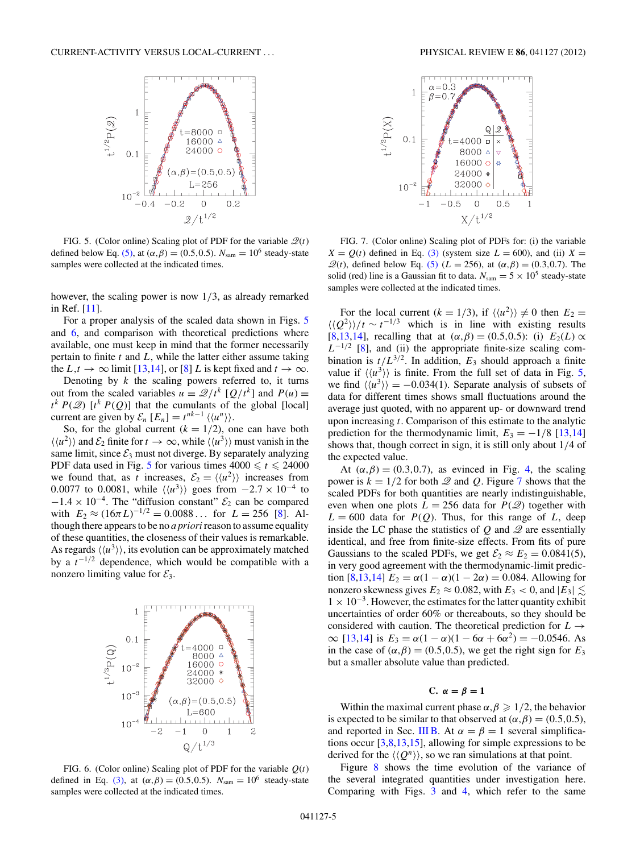<span id="page-4-0"></span>

FIG. 5. (Color online) Scaling plot of PDF for the variable  $\mathcal{Q}(t)$ defined below Eq. [\(5\),](#page-2-0) at  $(\alpha, \beta) = (0.5, 0.5)$ .  $N_{\text{sam}} = 10^6$  steady-state samples were collected at the indicated times.

however, the scaling power is now 1*/*3, as already remarked in Ref. [\[11\]](#page-6-0).

For a proper analysis of the scaled data shown in Figs. 5 and 6, and comparison with theoretical predictions where available, one must keep in mind that the former necessarily pertain to finite *t* and *L*, while the latter either assume taking the  $L, t \to \infty$  limit [\[13,14\]](#page-6-0), or [\[8\]](#page-6-0) *L* is kept fixed and  $t \to \infty$ .

Denoting by  $k$  the scaling powers referred to, it turns out from the scaled variables  $u = \mathcal{Q}/t^k$  [ $Q/t^k$ ] and  $P(u) \equiv$  $t^k P(\mathcal{Q})$  [ $t^k P(Q)$ ] that the cumulants of the global [local] current are given by  $\mathcal{E}_n$   $[E_n] = t^{nk-1} \langle \langle u^n \rangle \rangle$ .

So, for the global current  $(k = 1/2)$ , one can have both  $\langle \langle u^2 \rangle \rangle$  and  $\mathcal{E}_2$  finite for  $t \to \infty$ , while  $\langle \langle u^3 \rangle \rangle$  must vanish in the same limit, since  $\mathcal{E}_3$  must not diverge. By separately analyzing PDF data used in Fig. 5 for various times  $4000 \le t \le 24000$ we found that, as *t* increases,  $\mathcal{E}_2 = \langle \langle u^2 \rangle \rangle$  increases from 0.0077 to 0.0081, while  $\langle \langle u^3 \rangle \rangle$  goes from  $-2.7 \times 10^{-4}$  to  $-1.4 \times 10^{-4}$ . The "diffusion constant"  $\mathcal{E}_2$  can be compared with  $E_2 \approx (16\pi L)^{-1/2} = 0.0088...$  for  $L = 256$  [\[8\]](#page-6-0). Although there appears to be no *a priori*reason to assume equality of these quantities, the closeness of their values is remarkable. As regards  $\langle \langle u^3 \rangle \rangle$ , its evolution can be approximately matched by a  $t^{-1/2}$  dependence, which would be compatible with a nonzero limiting value for  $\mathcal{E}_3$ .



FIG. 6. (Color online) Scaling plot of PDF for the variable *Q*(*t*) defined in Eq. [\(3\),](#page-2-0) at  $(\alpha, \beta) = (0.5, 0.5)$ .  $N_{\text{sam}} = 10^6$  steady-state samples were collected at the indicated times.



FIG. 7. (Color online) Scaling plot of PDFs for: (i) the variable  $X = Q(t)$  defined in Eq. [\(3\)](#page-2-0) (system size  $L = 600$ ), and (ii)  $X =$  $\mathcal{Q}(t)$ , defined below Eq. [\(5\)](#page-2-0) (*L* = 256), at (*α, β*) = (0*.*3*,*0*.*7). The solid (red) line is a Gaussian fit to data.  $N_{\text{sam}} = 5 \times 10^5$  steady-state samples were collected at the indicated times.

For the local current  $(k = 1/3)$ , if  $\langle \langle u^2 \rangle \rangle \neq 0$  then  $E_2 =$  $\langle \langle Q^2 \rangle \rangle / t \sim t^{-1/3}$  which is in line with existing results [\[8,13,14\]](#page-6-0), recalling that at  $(α, β) = (0.5, 0.5)$ : (i)  $E_2(L) \propto$  $L^{-1/2}$  [\[8\]](#page-6-0), and (ii) the appropriate finite-size scaling combination is  $t/L^{3/2}$ . In addition,  $E_3$  should approach a finite value if  $\langle \langle u^3 \rangle \rangle$  is finite. From the full set of data in Fig. 5, we find  $\langle \langle u^3 \rangle \rangle = -0.034(1)$ . Separate analysis of subsets of data for different times shows small fluctuations around the average just quoted, with no apparent up- or downward trend upon increasing *t*. Comparison of this estimate to the analytic prediction for the thermodynamic limit,  $E_3 = -1/8$  [\[13,14\]](#page-6-0) shows that, though correct in sign, it is still only about 1*/*4 of the expected value.

At  $(\alpha, \beta) = (0.3, 0.7)$ , as evinced in Fig. [4,](#page-3-0) the scaling power is  $k = 1/2$  for both  $\mathcal Q$  and  $\mathcal Q$ . Figure 7 shows that the scaled PDFs for both quantities are nearly indistinguishable, even when one plots  $L = 256$  data for  $P(\mathcal{Q})$  together with  $L = 600$  data for  $P(Q)$ . Thus, for this range of *L*, deep inside the LC phase the statistics of  $Q$  and  $\mathscr Q$  are essentially identical, and free from finite-size effects. From fits of pure Gaussians to the scaled PDFs, we get  $\mathcal{E}_2 \approx E_2 = 0.0841(5)$ , in very good agreement with the thermodynamic-limit predic-tion [\[8,13,14\]](#page-6-0)  $E_2 = \alpha(1 - \alpha)(1 - 2\alpha) = 0.084$ . Allowing for nonzero skewness gives  $E_2 \approx 0.082$ , with  $E_3 < 0$ , and  $|E_3| \lesssim$  $1 \times 10^{-3}$ . However, the estimates for the latter quantity exhibit uncertainties of order 60% or thereabouts, so they should be considered with caution. The theoretical prediction for *L* →  $\infty$  [\[13,14\]](#page-6-0) is *E*<sub>3</sub> = *α*(1 − *α*)(1 − 6*α* + 6*α*<sup>2</sup>) = −0.0546. As in the case of  $(\alpha, \beta) = (0.5, 0.5)$ , we get the right sign for  $E_3$ but a smaller absolute value than predicted.

## **C.** *α* **=** *β* **= 1**

Within the maximal current phase  $\alpha, \beta \geq 1/2$ , the behavior is expected to be similar to that observed at  $(\alpha, \beta) = (0.5, 0.5)$ , and reported in Sec. [III B.](#page-3-0) At  $\alpha = \beta = 1$  several simplifications occur  $[3,8,13,15]$ , allowing for simple expressions to be derived for the  $\langle Q^n \rangle$ , so we ran simulations at that point.

Figure [8](#page-5-0) shows the time evolution of the variance of the several integrated quantities under investigation here. Comparing with Figs. [3](#page-3-0) and [4,](#page-3-0) which refer to the same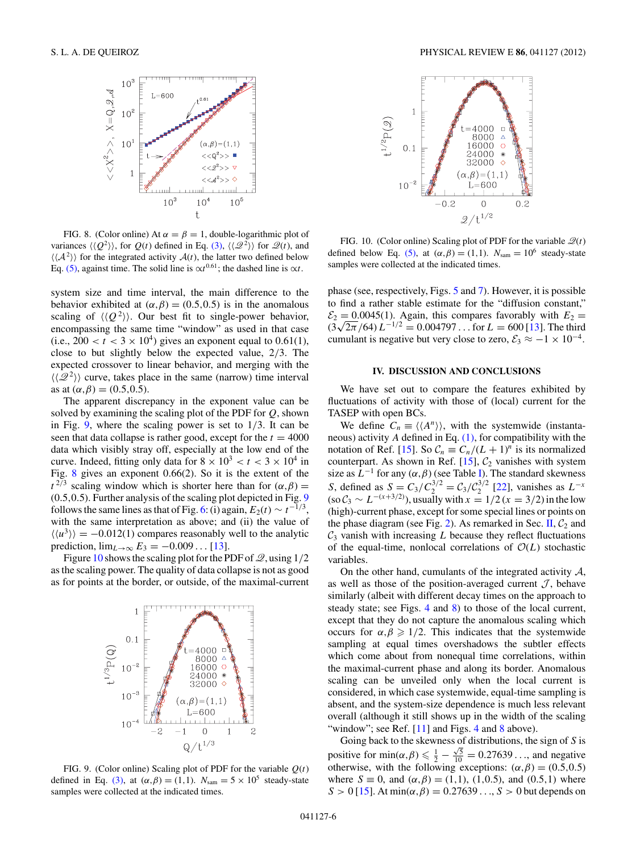<span id="page-5-0"></span>

FIG. 8. (Color online) At  $\alpha = \beta = 1$ , double-logarithmic plot of variances  $\langle \langle Q^2 \rangle \rangle$ , for  $Q(t)$  defined in Eq. [\(3\),](#page-2-0)  $\langle \langle \mathcal{Q}^2 \rangle \rangle$  for  $\mathcal{Q}(t)$ , and  $\langle \langle A^2 \rangle \rangle$  for the integrated activity  $A(t)$ , the latter two defined below Eq. [\(5\),](#page-2-0) against time. The solid line is  $\alpha t^{0.61}$ ; the dashed line is  $\alpha t$ .

system size and time interval, the main difference to the behavior exhibited at  $(\alpha, \beta) = (0.5, 0.5)$  is in the anomalous scaling of  $\langle \langle Q^2 \rangle \rangle$ . Our best fit to single-power behavior, encompassing the same time "window" as used in that case (i.e.,  $200 < t < 3 \times 10^4$ ) gives an exponent equal to 0.61(1), close to but slightly below the expected value, 2*/*3. The expected crossover to linear behavior, and merging with the  $\langle \langle \mathcal{Q}^2 \rangle \rangle$  curve, takes place in the same (narrow) time interval as at  $(\alpha, \beta) = (0.5, 0.5)$ .

The apparent discrepancy in the exponent value can be solved by examining the scaling plot of the PDF for *Q*, shown in Fig. 9, where the scaling power is set to 1*/*3. It can be seen that data collapse is rather good, except for the  $t = 4000$ data which visibly stray off, especially at the low end of the curve. Indeed, fitting only data for  $8 \times 10^3 < t < 3 \times 10^4$  in Fig. 8 gives an exponent 0*.*66(2). So it is the extent of the  $t^{2/3}$  scaling window which is shorter here than for  $(\alpha, \beta)$  = (0*.*5*,*0*.*5). Further analysis of the scaling plot depicted in Fig. 9 follows the same lines as that of Fig. [6:](#page-4-0) (i) again,  $E_2(t) \sim t^{-1/3}$ , with the same interpretation as above; and (ii) the value of  $\langle \langle u^3 \rangle \rangle = -0.012(1)$  compares reasonably well to the analytic prediction,  $\lim_{L \to \infty} E_3 = -0.009...$  [\[13\]](#page-6-0).

Figure 10 shows the scaling plot for the PDF of  $\mathcal{Q}$ , using 1/2 as the scaling power. The quality of data collapse is not as good as for points at the border, or outside, of the maximal-current



FIG. 9. (Color online) Scaling plot of PDF for the variable *Q*(*t*) defined in Eq. [\(3\),](#page-2-0) at  $(\alpha, \beta) = (1, 1)$ .  $N_{\text{sam}} = 5 \times 10^5$  steady-state samples were collected at the indicated times.



FIG. 10. (Color online) Scaling plot of PDF for the variable  $\mathcal{Q}(t)$ defined below Eq. [\(5\),](#page-2-0) at  $(\alpha, \beta) = (1, 1)$ .  $N_{\text{sam}} = 10^6$  steady-state samples were collected at the indicated times.

phase (see, respectively, Figs. [5](#page-4-0) and [7\)](#page-4-0). However, it is possible to find a rather stable estimate for the "diffusion constant,"  $\mathcal{E}_2 = 0.0045(1)$ . Again, this compares favorably with  $E_2 =$  $(3\sqrt{2\pi}/64) L^{-1/2} = 0.004797...$  for  $L = 600$  [\[13\]](#page-6-0). The third cumulant is negative but very close to zero,  $\mathcal{E}_3 \approx -1 \times 10^{-4}$ .

#### **IV. DISCUSSION AND CONCLUSIONS**

We have set out to compare the features exhibited by fluctuations of activity with those of (local) current for the TASEP with open BCs.

We define  $C_n \equiv \langle \langle A^n \rangle \rangle$ , with the systemwide (instantaneous) activity *A* defined in Eq. [\(1\),](#page-0-0) for compatibility with the notation of Ref. [\[15\]](#page-6-0). So  $C_n \equiv C_n/(L+1)^n$  is its normalized counterpart. As shown in Ref.  $[15]$ ,  $C_2$  vanishes with system size as  $L^{-1}$  for any  $(\alpha, \beta)$  (see Table [I\)](#page-1-0). The standard skewness *S*, defined as  $S = C_3/C_2^{3/2} = C_3/C_2^{3/2}$  [\[22\]](#page-6-0), vanishes as  $L^{-x}$  $(\text{so } \mathcal{C}_3 \sim L^{-(x+3/2)})$ , usually with  $x = 1/2$  ( $x = 3/2$ ) in the low (high)-current phase, except for some special lines or points on the phase diagram (see Fig. [2\)](#page-1-0). As remarked in Sec. [II,](#page-1-0)  $C_2$  and  $C_3$  vanish with increasing *L* because they reflect fluctuations of the equal-time, nonlocal correlations of  $O(L)$  stochastic variables.

On the other hand, cumulants of the integrated activity  $A$ , as well as those of the position-averaged current  $J$ , behave similarly (albeit with different decay times on the approach to steady state; see Figs. [4](#page-3-0) and 8) to those of the local current, except that they do not capture the anomalous scaling which occurs for  $\alpha, \beta \geq 1/2$ . This indicates that the systemwide sampling at equal times overshadows the subtler effects which come about from nonequal time correlations, within the maximal-current phase and along its border. Anomalous scaling can be unveiled only when the local current is considered, in which case systemwide, equal-time sampling is absent, and the system-size dependence is much less relevant overall (although it still shows up in the width of the scaling "window"; see Ref.  $[11]$  and Figs. [4](#page-3-0) and 8 above).

Going back to the skewness of distributions, the sign of *S* is positive for min $(\alpha, \beta) \leq \frac{1}{2} - \frac{\sqrt{5}}{10} = 0.27639...$ , and negative otherwise, with the following exceptions:  $(\alpha, \beta) = (0.5, 0.5)$ where  $S \equiv 0$ , and  $(\alpha, \beta) = (1, 1)$ ,  $(1, 0.5)$ , and  $(0.5, 1)$  where  $S > 0$  [\[15\]](#page-6-0). At min $(\alpha, \beta) = 0.27639...$ ,  $S > 0$  but depends on